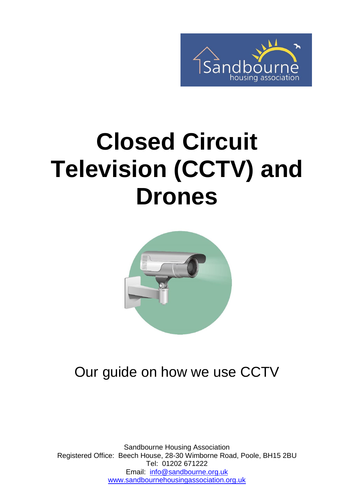

# **Closed Circuit Television (CCTV) and Drones**



#### Our guide on how we use CCTV

Sandbourne Housing Association Registered Office: Beech House, 28-30 Wimborne Road, Poole, BH15 2BU Tel: 01202 671222 Email: [info@sandbourne.org.uk](mailto:info@sandbourne.org.uk) [www.sandbournehousingassociation.org.uk](http://www.sandbournehousingassociation.org.uk/)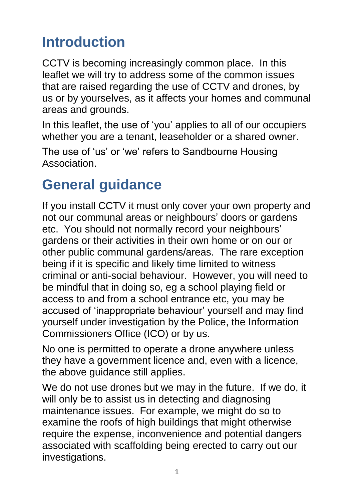### **Introduction**

CCTV is becoming increasingly common place. In this leaflet we will try to address some of the common issues that are raised regarding the use of CCTV and drones, by us or by yourselves, as it affects your homes and communal areas and grounds.

In this leaflet, the use of 'you' applies to all of our occupiers whether you are a tenant, leaseholder or a shared owner.

The use of 'us' or 'we' refers to Sandbourne Housing **Association** 

#### **General guidance**

If you install CCTV it must only cover your own property and not our communal areas or neighbours' doors or gardens etc. You should not normally record your neighbours' gardens or their activities in their own home or on our or other public communal gardens/areas. The rare exception being if it is specific and likely time limited to witness criminal or anti-social behaviour. However, you will need to be mindful that in doing so, eg a school playing field or access to and from a school entrance etc, you may be accused of 'inappropriate behaviour' yourself and may find yourself under investigation by the Police, the Information Commissioners Office (ICO) or by us.

No one is permitted to operate a drone anywhere unless they have a government licence and, even with a licence, the above guidance still applies.

We do not use drones but we may in the future. If we do, it will only be to assist us in detecting and diagnosing maintenance issues. For example, we might do so to examine the roofs of high buildings that might otherwise require the expense, inconvenience and potential dangers associated with scaffolding being erected to carry out our investigations.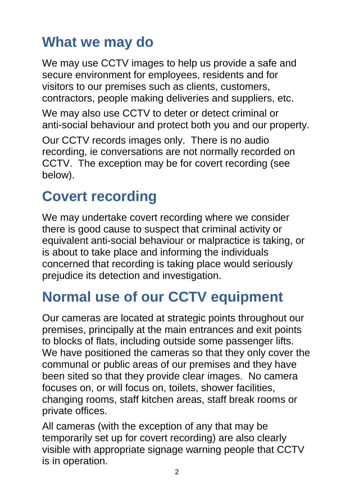#### **What we may do**

We may use CCTV images to help us provide a safe and secure environment for employees, residents and for visitors to our premises such as clients, customers, contractors, people making deliveries and suppliers, etc.

We may also use CCTV to deter or detect criminal or anti-social behaviour and protect both you and our property.

Our CCTV records images only. There is no audio recording, ie conversations are not normally recorded on CCTV. The exception may be for covert recording (see below).

#### **Covert recording**

We may undertake covert recording where we consider there is good cause to suspect that criminal activity or equivalent anti-social behaviour or malpractice is taking, or is about to take place and informing the individuals concerned that recording is taking place would seriously prejudice its detection and investigation.

#### **Normal use of our CCTV equipment**

Our cameras are located at strategic points throughout our premises, principally at the main entrances and exit points to blocks of flats, including outside some passenger lifts. We have positioned the cameras so that they only cover the communal or public areas of our premises and they have been sited so that they provide clear images. No camera focuses on, or will focus on, toilets, shower facilities, changing rooms, staff kitchen areas, staff break rooms or private offices.

All cameras (with the exception of any that may be temporarily set up for covert recording) are also clearly visible with appropriate signage warning people that CCTV is in operation.